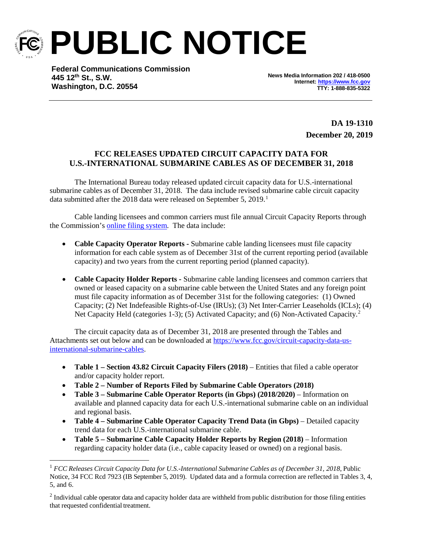

**PUBLIC NOTICE**

**Federal Communications Commission 445 12th St., S.W. Washington, D.C. 20554**

**News Media Information 202 / 418-0500 Internet[: https://www.fcc.gov](https://www.fcc.gov/) TTY: 1-888-835-5322**

> **DA 19-1310 December 20, 2019**

## **FCC RELEASES UPDATED CIRCUIT CAPACITY DATA FOR U.S.-INTERNATIONAL SUBMARINE CABLES AS OF DECEMBER 31, 2018**

The International Bureau today released updated circuit capacity data for U.S.-international submarine cables as of December 31, 2018. The data include revised submarine cable circuit capacity data submitted after the 2018 data were released on September 5, 2019. [1](#page-0-0)

Cable landing licensees and common carriers must file annual Circuit Capacity Reports through the Commission's [online filing system.](https://apps2.fcc.gov/section4362/login.xhtml) The data include:

- **Cable Capacity Operator Reports -** Submarine cable landing licensees must file capacity information for each cable system as of December 31st of the current reporting period (available capacity) and two years from the current reporting period (planned capacity).
- **Cable Capacity Holder Reports -** Submarine cable landing licensees and common carriers that owned or leased capacity on a submarine cable between the United States and any foreign point must file capacity information as of December 31st for the following categories: (1) Owned Capacity; (2) Net Indefeasible Rights-of-Use (IRUs); (3) Net Inter-Carrier Leaseholds (ICLs); (4) Net Capacity Held (categories 1-3); (5) Activated Capacity; and (6) Non-Activated Capacity.<sup>[2](#page-0-1)</sup>

The circuit capacity data as of December 31, 2018 are presented through the Tables and Attachments set out below and can be downloaded a[t https://www.fcc.gov/circuit-capacity-data-us](https://www.fcc.gov/circuit-capacity-data-us-international-submarine-cables)[international-submarine-cables.](https://www.fcc.gov/circuit-capacity-data-us-international-submarine-cables)

- **Table 1 – Section 43.82 Circuit Capacity Filers (2018)** Entities that filed a cable operator and/or capacity holder report.
- **Table 2 – Number of Reports Filed by Submarine Cable Operators (2018)**
- **Table 3 – Submarine Cable Operator Reports (in Gbps) (2018/2020)** Information on available and planned capacity data for each U.S.-international submarine cable on an individual and regional basis.
- **Table 4 – Submarine Cable Operator Capacity Trend Data (in Gbps)**  Detailed capacity trend data for each U.S.-international submarine cable.
- **Table 5 – Submarine Cable Capacity Holder Reports by Region (2018)**  Information regarding capacity holder data (i.e., cable capacity leased or owned) on a regional basis.

<span id="page-0-0"></span> <sup>1</sup> *FCC Releases Circuit Capacity Data for U.S.-International Submarine Cables as of December 31, 2018*, Public Notice, 34 FCC Rcd 7923 (IB September 5, 2019). Updated data and a formula correction are reflected in Tables 3, 4, 5, and 6.

<span id="page-0-1"></span><sup>&</sup>lt;sup>2</sup> Individual cable operator data and capacity holder data are withheld from public distribution for those filing entities that requested confidential treatment.